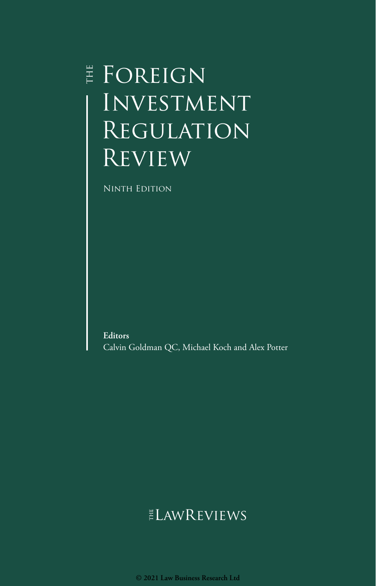## $\sharp$  Foreign Investment Regulation **REVIEW**

Ninth Edition

**Editors** Calvin Goldman QC, Michael Koch and Alex Potter

## ELAWREVIEWS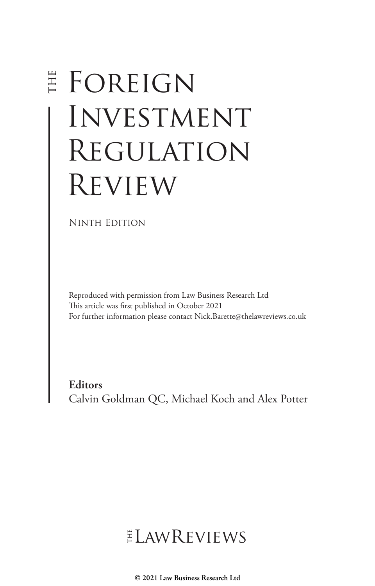# E FOREIGN **INVESTMENT** Regulation Review

Ninth Edition

Reproduced with permission from Law Business Research Ltd This article was first published in October 2021 For further information please contact Nick.Barette@thelawreviews.co.uk

**Editors** Calvin Goldman QC, Michael Koch and Alex Potter

## ELAWREVIEWS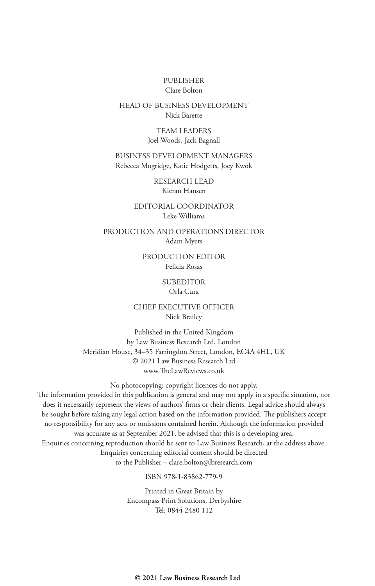#### PUBLISHER Clare Bolton

#### HEAD OF BUSINESS DEVELOPMENT Nick Barette

TEAM LEADERS Joel Woods, Jack Bagnall

BUSINESS DEVELOPMENT MANAGERS Rebecca Mogridge, Katie Hodgetts, Joey Kwok

> RESEARCH LEAD Kieran Hansen

EDITORIAL COORDINATOR Leke Williams

PRODUCTION AND OPERATIONS DIRECTOR Adam Myers

> PRODUCTION EDITOR Felicia Rosas

#### **SUBEDITOR**

#### Orla Cura

CHIEF EXECUTIVE OFFICER Nick Brailey

Published in the United Kingdom by Law Business Research Ltd, London Meridian House, 34–35 Farringdon Street, London, EC4A 4HL, UK © 2021 Law Business Research Ltd www.TheLawReviews.co.uk

No photocopying: copyright licences do not apply. The information provided in this publication is general and may not apply in a specific situation, nor does it necessarily represent the views of authors' firms or their clients. Legal advice should always be sought before taking any legal action based on the information provided. The publishers accept no responsibility for any acts or omissions contained herein. Although the information provided was accurate as at September 2021, be advised that this is a developing area. Enquiries concerning reproduction should be sent to Law Business Research, at the address above. Enquiries concerning editorial content should be directed to the Publisher – clare.bolton@lbresearch.com

ISBN 978-1-83862-779-9

Printed in Great Britain by Encompass Print Solutions, Derbyshire Tel: 0844 2480 112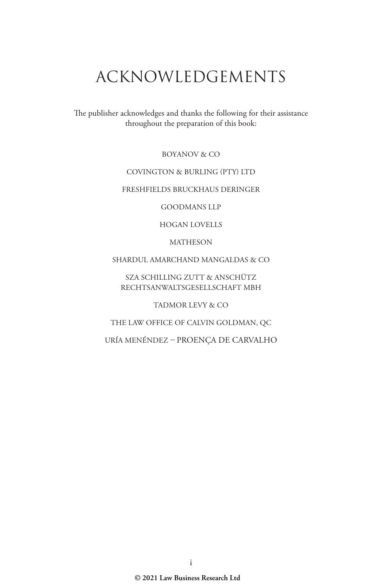## ACKNOWLEDGEMENTS

The publisher acknowledges and thanks the following for their assistance throughout the preparation of this book:

BOYANOV & CO

#### COVINGTON & BURLING (PTY) LTD

#### FRESHFIELDS BRUCKHAUS DERINGER

GOODMANS LLP

HOGAN LOVELLS

MATHESON

SHARDUL AMARCHAND MANGALDAS & CO

SZA SCHILLING ZUTT & ANSCHÜTZ RECHTSANWALTSGESELLSCHAFT MBH

TADMOR LEVY & CO

THE LAW OFFICE OF CALVIN GOLDMAN, QC

URÍA MENÉNDEZ *–* PROENÇA DE CARVALHO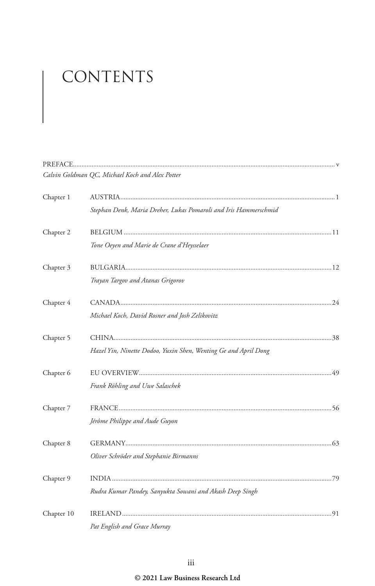# CONTENTS

|            | Calvin Goldman QC, Michael Koch and Alex Potter                  |  |
|------------|------------------------------------------------------------------|--|
| Chapter 1  |                                                                  |  |
|            | Stephan Denk, Maria Dreher, Lukas Pomaroli and Iris Hammerschmid |  |
| Chapter 2  |                                                                  |  |
|            | Tone Oeyen and Marie de Crane d'Heysselaer                       |  |
| Chapter 3  |                                                                  |  |
|            | Trayan Targov and Atanas Grigorov                                |  |
| Chapter 4  |                                                                  |  |
|            | Michael Koch, David Rosner and Josh Zelikovitz                   |  |
| Chapter 5  |                                                                  |  |
|            | Hazel Yin, Ninette Dodoo, Yuxin Shen, Wenting Ge and April Dong  |  |
| Chapter 6  |                                                                  |  |
|            | Frank Röhling and Uwe Salaschek                                  |  |
| Chapter 7  |                                                                  |  |
|            | Jérôme Philippe and Aude Guyon                                   |  |
| Chapter 8  |                                                                  |  |
|            | Oliver Schröder and Stephanie Birmanns                           |  |
| Chapter 9  |                                                                  |  |
|            | Rudra Kumar Pandey, Sanyukta Sowani and Akash Deep Singh         |  |
| Chapter 10 |                                                                  |  |
|            | Pat English and Grace Murray                                     |  |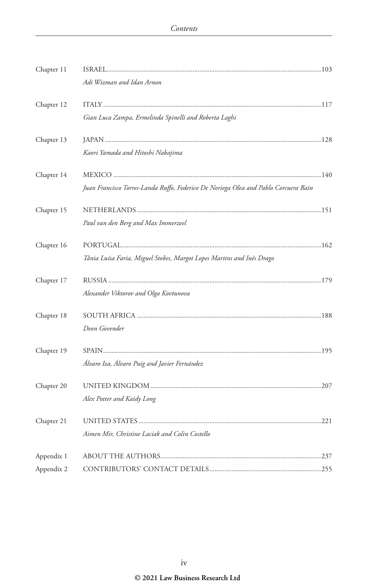| Chapter 11 |                                                                                     |  |
|------------|-------------------------------------------------------------------------------------|--|
|            | Adi Wizman and Idan Arnon                                                           |  |
| Chapter 12 |                                                                                     |  |
|            | Gian Luca Zampa, Ermelinda Spinelli and Roberta Laghi                               |  |
| Chapter 13 |                                                                                     |  |
|            | Kaori Yamada and Hitoshi Nakajima                                                   |  |
| Chapter 14 |                                                                                     |  |
|            | Juan Francisco Torres-Landa Ruffo, Federico De Noriega Olea and Pablo Corcuera Bain |  |
| Chapter 15 |                                                                                     |  |
|            | Paul van den Berg and Max Immerzeel                                                 |  |
| Chapter 16 |                                                                                     |  |
|            | Tânia Luísa Faria, Miguel Stokes, Margot Lopes Martins and Inês Drago               |  |
| Chapter 17 |                                                                                     |  |
|            | Alexander Viktorov and Olga Kovtunova                                               |  |
| Chapter 18 |                                                                                     |  |
|            | Deon Govender                                                                       |  |
| Chapter 19 |                                                                                     |  |
|            | Álvaro Iza, Álvaro Puig and Javier Fernández                                        |  |
| Chapter 20 |                                                                                     |  |
|            | Alex Potter and Kaidy Long                                                          |  |
| Chapter 21 |                                                                                     |  |
|            | Aimen Mir, Christine Laciak and Colin Costello                                      |  |
| Appendix 1 |                                                                                     |  |
| Appendix 2 |                                                                                     |  |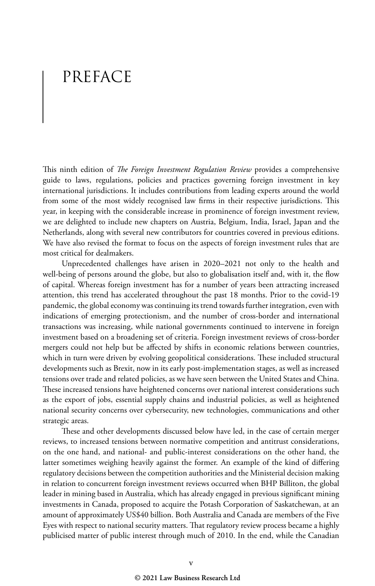## PREFACE

This ninth edition of *The Foreign Investment Regulation Review* provides a comprehensive guide to laws, regulations, policies and practices governing foreign investment in key international jurisdictions. It includes contributions from leading experts around the world from some of the most widely recognised law firms in their respective jurisdictions. This year, in keeping with the considerable increase in prominence of foreign investment review, we are delighted to include new chapters on Austria, Belgium, India, Israel, Japan and the Netherlands, along with several new contributors for countries covered in previous editions. We have also revised the format to focus on the aspects of foreign investment rules that are most critical for dealmakers.

Unprecedented challenges have arisen in 2020–2021 not only to the health and well-being of persons around the globe, but also to globalisation itself and, with it, the flow of capital. Whereas foreign investment has for a number of years been attracting increased attention, this trend has accelerated throughout the past 18 months. Prior to the covid-19 pandemic, the global economy was continuing its trend towards further integration, even with indications of emerging protectionism, and the number of cross-border and international transactions was increasing, while national governments continued to intervene in foreign investment based on a broadening set of criteria. Foreign investment reviews of cross-border mergers could not help but be affected by shifts in economic relations between countries, which in turn were driven by evolving geopolitical considerations. These included structural developments such as Brexit, now in its early post-implementation stages, as well as increased tensions over trade and related policies, as we have seen between the United States and China. These increased tensions have heightened concerns over national interest considerations such as the export of jobs, essential supply chains and industrial policies, as well as heightened national security concerns over cybersecurity, new technologies, communications and other strategic areas.

These and other developments discussed below have led, in the case of certain merger reviews, to increased tensions between normative competition and antitrust considerations, on the one hand, and national- and public-interest considerations on the other hand, the latter sometimes weighing heavily against the former. An example of the kind of differing regulatory decisions between the competition authorities and the Ministerial decision making in relation to concurrent foreign investment reviews occurred when BHP Billiton, the global leader in mining based in Australia, which has already engaged in previous significant mining investments in Canada, proposed to acquire the Potash Corporation of Saskatchewan, at an amount of approximately US\$40 billion. Both Australia and Canada are members of the Five Eyes with respect to national security matters. That regulatory review process became a highly publicised matter of public interest through much of 2010. In the end, while the Canadian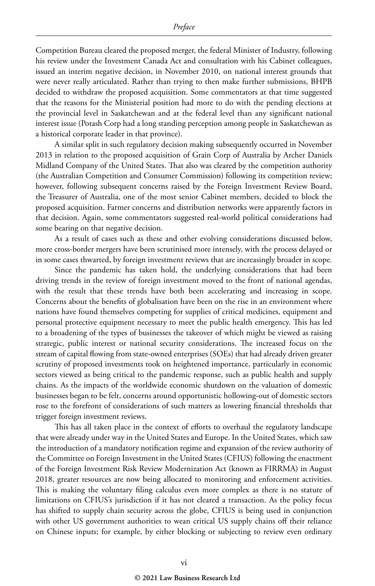Competition Bureau cleared the proposed merger, the federal Minister of Industry, following his review under the Investment Canada Act and consultation with his Cabinet colleagues, issued an interim negative decision, in November 2010, on national interest grounds that were never really articulated. Rather than trying to then make further submissions, BHPB decided to withdraw the proposed acquisition. Some commentators at that time suggested that the reasons for the Ministerial position had more to do with the pending elections at the provincial level in Saskatchewan and at the federal level than any significant national interest issue (Potash Corp had a long standing perception among people in Saskatchewan as a historical corporate leader in that province).

A similar split in such regulatory decision making subsequently occurred in November 2013 in relation to the proposed acquisition of Grain Corp of Australia by Archer Daniels Midland Company of the United States. That also was cleared by the competition authority (the Australian Competition and Consumer Commission) following its competition review; however, following subsequent concerns raised by the Foreign Investment Review Board, the Treasurer of Australia, one of the most senior Cabinet members, decided to block the proposed acquisition. Farmer concerns and distribution networks were apparently factors in that decision. Again, some commentators suggested real-world political considerations had some bearing on that negative decision.

As a result of cases such as these and other evolving considerations discussed below, more cross-border mergers have been scrutinised more intensely, with the process delayed or in some cases thwarted, by foreign investment reviews that are increasingly broader in scope.

Since the pandemic has taken hold, the underlying considerations that had been driving trends in the review of foreign investment moved to the front of national agendas, with the result that these trends have both been accelerating and increasing in scope. Concerns about the benefits of globalisation have been on the rise in an environment where nations have found themselves competing for supplies of critical medicines, equipment and personal protective equipment necessary to meet the public health emergency. This has led to a broadening of the types of businesses the takeover of which might be viewed as raising strategic, public interest or national security considerations. The increased focus on the stream of capital flowing from state-owned enterprises (SOEs) that had already driven greater scrutiny of proposed investments took on heightened importance, particularly in economic sectors viewed as being critical to the pandemic response, such as public health and supply chains. As the impacts of the worldwide economic shutdown on the valuation of domestic businesses began to be felt, concerns around opportunistic hollowing-out of domestic sectors rose to the forefront of considerations of such matters as lowering financial thresholds that trigger foreign investment reviews.

This has all taken place in the context of efforts to overhaul the regulatory landscape that were already under way in the United States and Europe. In the United States, which saw the introduction of a mandatory notification regime and expansion of the review authority of the Committee on Foreign Investment in the United States (CFIUS) following the enactment of the Foreign Investment Risk Review Modernization Act (known as FIRRMA) in August 2018, greater resources are now being allocated to monitoring and enforcement activities. This is making the voluntary filing calculus even more complex as there is no statute of limitations on CFIUS's jurisdiction if it has not cleared a transaction. As the policy focus has shifted to supply chain security across the globe, CFIUS is being used in conjunction with other US government authorities to wean critical US supply chains off their reliance on Chinese inputs; for example, by either blocking or subjecting to review even ordinary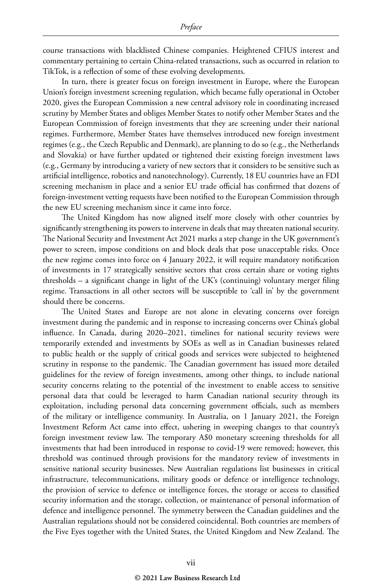course transactions with blacklisted Chinese companies. Heightened CFIUS interest and commentary pertaining to certain China-related transactions, such as occurred in relation to TikTok, is a reflection of some of these evolving developments.

In turn, there is greater focus on foreign investment in Europe, where the European Union's foreign investment screening regulation, which became fully operational in October 2020, gives the European Commission a new central advisory role in coordinating increased scrutiny by Member States and obliges Member States to notify other Member States and the European Commission of foreign investments that they are screening under their national regimes. Furthermore, Member States have themselves introduced new foreign investment regimes (e.g., the Czech Republic and Denmark), are planning to do so (e.g., the Netherlands and Slovakia) or have further updated or tightened their existing foreign investment laws (e.g., Germany by introducing a variety of new sectors that it considers to be sensitive such as artificial intelligence, robotics and nanotechnology). Currently, 18 EU countries have an FDI screening mechanism in place and a senior EU trade official has confirmed that dozens of foreign-investment vetting requests have been notified to the European Commission through the new EU screening mechanism since it came into force.

The United Kingdom has now aligned itself more closely with other countries by significantly strengthening its powers to intervene in deals that may threaten national security. The National Security and Investment Act 2021 marks a step change in the UK government's power to screen, impose conditions on and block deals that pose unacceptable risks. Once the new regime comes into force on 4 January 2022, it will require mandatory notification of investments in 17 strategically sensitive sectors that cross certain share or voting rights thresholds – a significant change in light of the UK's (continuing) voluntary merger filing regime. Transactions in all other sectors will be susceptible to 'call in' by the government should there be concerns.

The United States and Europe are not alone in elevating concerns over foreign investment during the pandemic and in response to increasing concerns over China's global influence. In Canada, during 2020–2021, timelines for national security reviews were temporarily extended and investments by SOEs as well as in Canadian businesses related to public health or the supply of critical goods and services were subjected to heightened scrutiny in response to the pandemic. The Canadian government has issued more detailed guidelines for the review of foreign investments, among other things, to include national security concerns relating to the potential of the investment to enable access to sensitive personal data that could be leveraged to harm Canadian national security through its exploitation, including personal data concerning government officials, such as members of the military or intelligence community. In Australia, on 1 January 2021, the Foreign Investment Reform Act came into effect, ushering in sweeping changes to that country's foreign investment review law. The temporary A\$0 monetary screening thresholds for all investments that had been introduced in response to covid-19 were removed; however, this threshold was continued through provisions for the mandatory review of investments in sensitive national security businesses. New Australian regulations list businesses in critical infrastructure, telecommunications, military goods or defence or intelligence technology, the provision of service to defence or intelligence forces, the storage or access to classified security information and the storage, collection, or maintenance of personal information of defence and intelligence personnel. The symmetry between the Canadian guidelines and the Australian regulations should not be considered coincidental. Both countries are members of the Five Eyes together with the United States, the United Kingdom and New Zealand. The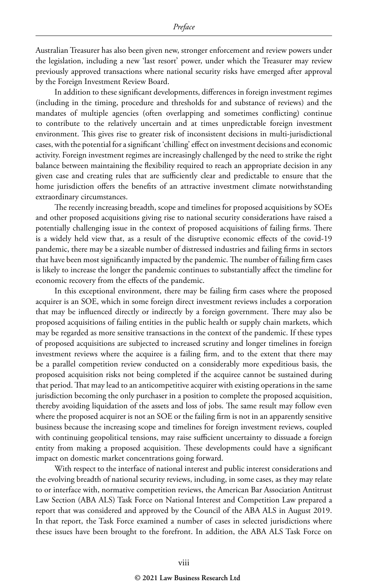Australian Treasurer has also been given new, stronger enforcement and review powers under the legislation, including a new 'last resort' power, under which the Treasurer may review previously approved transactions where national security risks have emerged after approval by the Foreign Investment Review Board.

In addition to these significant developments, differences in foreign investment regimes (including in the timing, procedure and thresholds for and substance of reviews) and the mandates of multiple agencies (often overlapping and sometimes conflicting) continue to contribute to the relatively uncertain and at times unpredictable foreign investment environment. This gives rise to greater risk of inconsistent decisions in multi-jurisdictional cases, with the potential for a significant 'chilling' effect on investment decisions and economic activity. Foreign investment regimes are increasingly challenged by the need to strike the right balance between maintaining the flexibility required to reach an appropriate decision in any given case and creating rules that are sufficiently clear and predictable to ensure that the home jurisdiction offers the benefits of an attractive investment climate notwithstanding extraordinary circumstances.

The recently increasing breadth, scope and timelines for proposed acquisitions by SOEs and other proposed acquisitions giving rise to national security considerations have raised a potentially challenging issue in the context of proposed acquisitions of failing firms. There is a widely held view that, as a result of the disruptive economic effects of the covid-19 pandemic, there may be a sizeable number of distressed industries and failing firms in sectors that have been most significantly impacted by the pandemic. The number of failing firm cases is likely to increase the longer the pandemic continues to substantially affect the timeline for economic recovery from the effects of the pandemic.

In this exceptional environment, there may be failing firm cases where the proposed acquirer is an SOE, which in some foreign direct investment reviews includes a corporation that may be influenced directly or indirectly by a foreign government. There may also be proposed acquisitions of failing entities in the public health or supply chain markets, which may be regarded as more sensitive transactions in the context of the pandemic. If these types of proposed acquisitions are subjected to increased scrutiny and longer timelines in foreign investment reviews where the acquiree is a failing firm, and to the extent that there may be a parallel competition review conducted on a considerably more expeditious basis, the proposed acquisition risks not being completed if the acquiree cannot be sustained during that period. That may lead to an anticompetitive acquirer with existing operations in the same jurisdiction becoming the only purchaser in a position to complete the proposed acquisition, thereby avoiding liquidation of the assets and loss of jobs. The same result may follow even where the proposed acquirer is not an SOE or the failing firm is not in an apparently sensitive business because the increasing scope and timelines for foreign investment reviews, coupled with continuing geopolitical tensions, may raise sufficient uncertainty to dissuade a foreign entity from making a proposed acquisition. These developments could have a significant impact on domestic market concentrations going forward.

With respect to the interface of national interest and public interest considerations and the evolving breadth of national security reviews, including, in some cases, as they may relate to or interface with, normative competition reviews, the American Bar Association Antitrust Law Section (ABA ALS) Task Force on National Interest and Competition Law prepared a report that was considered and approved by the Council of the ABA ALS in August 2019. In that report, the Task Force examined a number of cases in selected jurisdictions where these issues have been brought to the forefront. In addition, the ABA ALS Task Force on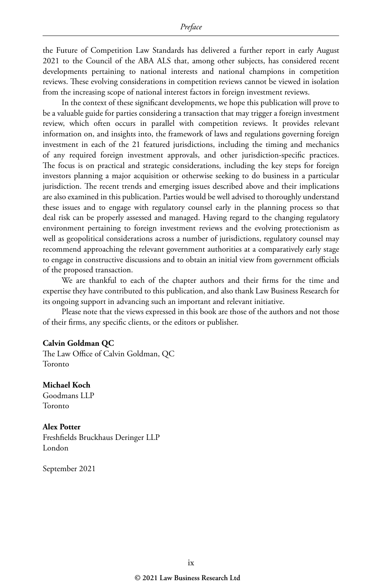the Future of Competition Law Standards has delivered a further report in early August 2021 to the Council of the ABA ALS that, among other subjects, has considered recent developments pertaining to national interests and national champions in competition reviews. These evolving considerations in competition reviews cannot be viewed in isolation from the increasing scope of national interest factors in foreign investment reviews.

In the context of these significant developments, we hope this publication will prove to be a valuable guide for parties considering a transaction that may trigger a foreign investment review, which often occurs in parallel with competition reviews. It provides relevant information on, and insights into, the framework of laws and regulations governing foreign investment in each of the 21 featured jurisdictions, including the timing and mechanics of any required foreign investment approvals, and other jurisdiction-specific practices. The focus is on practical and strategic considerations, including the key steps for foreign investors planning a major acquisition or otherwise seeking to do business in a particular jurisdiction. The recent trends and emerging issues described above and their implications are also examined in this publication. Parties would be well advised to thoroughly understand these issues and to engage with regulatory counsel early in the planning process so that deal risk can be properly assessed and managed. Having regard to the changing regulatory environment pertaining to foreign investment reviews and the evolving protectionism as well as geopolitical considerations across a number of jurisdictions, regulatory counsel may recommend approaching the relevant government authorities at a comparatively early stage to engage in constructive discussions and to obtain an initial view from government officials of the proposed transaction.

We are thankful to each of the chapter authors and their firms for the time and expertise they have contributed to this publication, and also thank Law Business Research for its ongoing support in advancing such an important and relevant initiative.

Please note that the views expressed in this book are those of the authors and not those of their firms, any specific clients, or the editors or publisher.

#### **Calvin Goldman QC**

The Law Office of Calvin Goldman, QC Toronto

**Michael Koch**  Goodmans LLP Toronto

**Alex Potter** Freshfields Bruckhaus Deringer LLP London

September 2021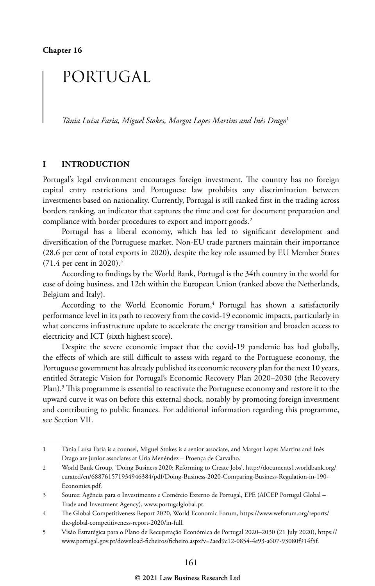## PORTUGAL

*Tânia Luísa Faria, Miguel Stokes, Margot Lopes Martins and Inês Drago*<sup>1</sup>

#### **I INTRODUCTION**

Portugal's legal environment encourages foreign investment. The country has no foreign capital entry restrictions and Portuguese law prohibits any discrimination between investments based on nationality. Currently, Portugal is still ranked first in the trading across borders ranking, an indicator that captures the time and cost for document preparation and compliance with border procedures to export and import goods.<sup>2</sup>

Portugal has a liberal economy, which has led to significant development and diversification of the Portuguese market. Non-EU trade partners maintain their importance (28.6 per cent of total exports in 2020), despite the key role assumed by EU Member States  $(71.4 \text{ per cent in } 2020).$ <sup>3</sup>

According to findings by the World Bank, Portugal is the 34th country in the world for ease of doing business, and 12th within the European Union (ranked above the Netherlands, Belgium and Italy).

According to the World Economic Forum,<sup>4</sup> Portugal has shown a satisfactorily performance level in its path to recovery from the covid-19 economic impacts, particularly in what concerns infrastructure update to accelerate the energy transition and broaden access to electricity and ICT (sixth highest score).

Despite the severe economic impact that the covid-19 pandemic has had globally, the effects of which are still difficult to assess with regard to the Portuguese economy, the Portuguese government has already published its economic recovery plan for the next 10 years, entitled Strategic Vision for Portugal's Economic Recovery Plan 2020–2030 (the Recovery Plan).5 This programme is essential to reactivate the Portuguese economy and restore it to the upward curve it was on before this external shock, notably by promoting foreign investment and contributing to public finances. For additional information regarding this programme, see Section VII.

<sup>1</sup> Tânia Luísa Faria is a counsel, Miguel Stokes is a senior associate, and Margot Lopes Martins and Inês Drago are junior associates at Uría Menéndez – Proença de Carvalho.

<sup>2</sup> World Bank Group, 'Doing Business 2020: Reforming to Create Jobs', http://documents1.worldbank.org/ curated/en/688761571934946384/pdf/Doing-Business-2020-Comparing-Business-Regulation-in-190- Economies.pdf.

<sup>3</sup> Source: Agência para o Investimento e Comércio Externo de Portugal, EPE (AICEP Portugal Global – Trade and Investment Agency), www.portugalglobal.pt.

<sup>4</sup> The Global Competitiveness Report 2020, World Economic Forum, https://www.weforum.org/reports/ the-global-competitiveness-report-2020/in-full.

<sup>5</sup> Visão Estratégica para o Plano de Recuperação Económica de Portugal 2020–2030 (21 July 2020), https:// www.portugal.gov.pt/download-ficheiros/ficheiro.aspx?v=2aed9c12-0854-4e93-a607-93080f914f5f.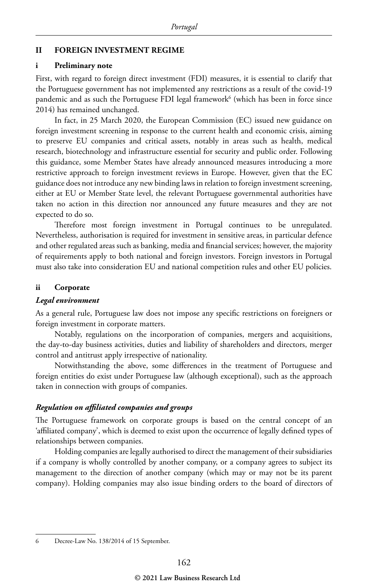#### **II FOREIGN INVESTMENT REGIME**

#### **i Preliminary note**

First, with regard to foreign direct investment (FDI) measures, it is essential to clarify that the Portuguese government has not implemented any restrictions as a result of the covid-19 pandemic and as such the Portuguese FDI legal framework<sup>6</sup> (which has been in force since 2014) has remained unchanged.

In fact, in 25 March 2020, the European Commission (EC) issued new guidance on foreign investment screening in response to the current health and economic crisis, aiming to preserve EU companies and critical assets, notably in areas such as health, medical research, biotechnology and infrastructure essential for security and public order. Following this guidance, some Member States have already announced measures introducing a more restrictive approach to foreign investment reviews in Europe. However, given that the EC guidance does not introduce any new binding laws in relation to foreign investment screening, either at EU or Member State level, the relevant Portuguese governmental authorities have taken no action in this direction nor announced any future measures and they are not expected to do so.

Therefore most foreign investment in Portugal continues to be unregulated. Nevertheless, authorisation is required for investment in sensitive areas, in particular defence and other regulated areas such as banking, media and financial services; however, the majority of requirements apply to both national and foreign investors. Foreign investors in Portugal must also take into consideration EU and national competition rules and other EU policies.

#### **ii Corporate**

#### *Legal environment*

As a general rule, Portuguese law does not impose any specific restrictions on foreigners or foreign investment in corporate matters.

Notably, regulations on the incorporation of companies, mergers and acquisitions, the day-to-day business activities, duties and liability of shareholders and directors, merger control and antitrust apply irrespective of nationality.

Notwithstanding the above, some differences in the treatment of Portuguese and foreign entities do exist under Portuguese law (although exceptional), such as the approach taken in connection with groups of companies.

#### *Regulation on affiliated companies and groups*

The Portuguese framework on corporate groups is based on the central concept of an 'affiliated company', which is deemed to exist upon the occurrence of legally defined types of relationships between companies.

Holding companies are legally authorised to direct the management of their subsidiaries if a company is wholly controlled by another company, or a company agrees to subject its management to the direction of another company (which may or may not be its parent company). Holding companies may also issue binding orders to the board of directors of

<sup>6</sup> Decree-Law No. 138/2014 of 15 September.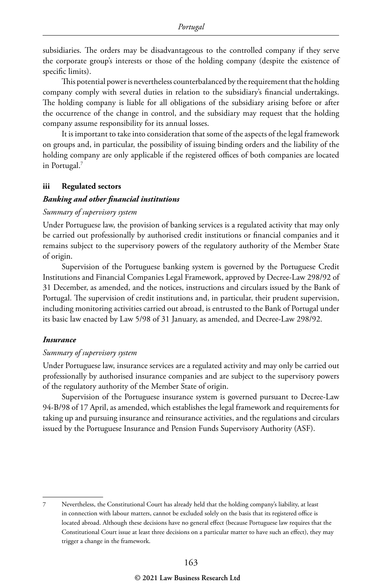subsidiaries. The orders may be disadvantageous to the controlled company if they serve the corporate group's interests or those of the holding company (despite the existence of specific limits).

This potential power is nevertheless counterbalanced by the requirement that the holding company comply with several duties in relation to the subsidiary's financial undertakings. The holding company is liable for all obligations of the subsidiary arising before or after the occurrence of the change in control, and the subsidiary may request that the holding company assume responsibility for its annual losses.

It is important to take into consideration that some of the aspects of the legal framework on groups and, in particular, the possibility of issuing binding orders and the liability of the holding company are only applicable if the registered offices of both companies are located in Portugal.7

#### **iii Regulated sectors**

#### *Banking and other financial institutions*

#### *Summary of supervisory system*

Under Portuguese law, the provision of banking services is a regulated activity that may only be carried out professionally by authorised credit institutions or financial companies and it remains subject to the supervisory powers of the regulatory authority of the Member State of origin.

Supervision of the Portuguese banking system is governed by the Portuguese Credit Institutions and Financial Companies Legal Framework, approved by Decree-Law 298/92 of 31 December, as amended, and the notices, instructions and circulars issued by the Bank of Portugal. The supervision of credit institutions and, in particular, their prudent supervision, including monitoring activities carried out abroad, is entrusted to the Bank of Portugal under its basic law enacted by Law 5/98 of 31 January, as amended, and Decree-Law 298/92.

#### *Insurance*

#### *Summary of supervisory system*

Under Portuguese law, insurance services are a regulated activity and may only be carried out professionally by authorised insurance companies and are subject to the supervisory powers of the regulatory authority of the Member State of origin.

Supervision of the Portuguese insurance system is governed pursuant to Decree-Law 94-B/98 of 17 April, as amended, which establishes the legal framework and requirements for taking up and pursuing insurance and reinsurance activities, and the regulations and circulars issued by the Portuguese Insurance and Pension Funds Supervisory Authority (ASF).

<sup>7</sup> Nevertheless, the Constitutional Court has already held that the holding company's liability, at least in connection with labour matters, cannot be excluded solely on the basis that its registered office is located abroad. Although these decisions have no general effect (because Portuguese law requires that the Constitutional Court issue at least three decisions on a particular matter to have such an effect), they may trigger a change in the framework.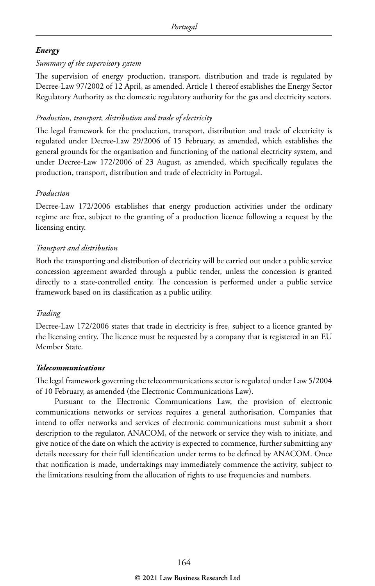#### *Energy*

#### *Summary of the supervisory system*

The supervision of energy production, transport, distribution and trade is regulated by Decree-Law 97/2002 of 12 April, as amended. Article 1 thereof establishes the Energy Sector Regulatory Authority as the domestic regulatory authority for the gas and electricity sectors.

#### *Production, transport, distribution and trade of electricity*

The legal framework for the production, transport, distribution and trade of electricity is regulated under Decree-Law 29/2006 of 15 February, as amended, which establishes the general grounds for the organisation and functioning of the national electricity system, and under Decree-Law 172/2006 of 23 August, as amended, which specifically regulates the production, transport, distribution and trade of electricity in Portugal.

#### *Production*

Decree-Law 172/2006 establishes that energy production activities under the ordinary regime are free, subject to the granting of a production licence following a request by the licensing entity.

#### *Transport and distribution*

Both the transporting and distribution of electricity will be carried out under a public service concession agreement awarded through a public tender, unless the concession is granted directly to a state-controlled entity. The concession is performed under a public service framework based on its classification as a public utility.

#### *Trading*

Decree-Law 172/2006 states that trade in electricity is free, subject to a licence granted by the licensing entity. The licence must be requested by a company that is registered in an EU Member State.

#### *Telecommunications*

The legal framework governing the telecommunications sector is regulated under Law 5/2004 of 10 February, as amended (the Electronic Communications Law).

Pursuant to the Electronic Communications Law, the provision of electronic communications networks or services requires a general authorisation. Companies that intend to offer networks and services of electronic communications must submit a short description to the regulator, ANACOM, of the network or service they wish to initiate, and give notice of the date on which the activity is expected to commence, further submitting any details necessary for their full identification under terms to be defined by ANACOM. Once that notification is made, undertakings may immediately commence the activity, subject to the limitations resulting from the allocation of rights to use frequencies and numbers.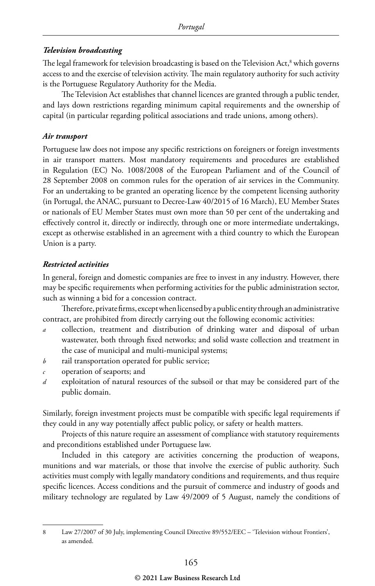#### *Television broadcasting*

The legal framework for television broadcasting is based on the Television Act,<sup>8</sup> which governs access to and the exercise of television activity. The main regulatory authority for such activity is the Portuguese Regulatory Authority for the Media.

The Television Act establishes that channel licences are granted through a public tender, and lays down restrictions regarding minimum capital requirements and the ownership of capital (in particular regarding political associations and trade unions, among others).

#### *Air transport*

Portuguese law does not impose any specific restrictions on foreigners or foreign investments in air transport matters. Most mandatory requirements and procedures are established in Regulation (EC) No. 1008/2008 of the European Parliament and of the Council of 28 September 2008 on common rules for the operation of air services in the Community. For an undertaking to be granted an operating licence by the competent licensing authority (in Portugal, the ANAC, pursuant to Decree-Law 40/2015 of 16 March), EU Member States or nationals of EU Member States must own more than 50 per cent of the undertaking and effectively control it, directly or indirectly, through one or more intermediate undertakings, except as otherwise established in an agreement with a third country to which the European Union is a party.

#### *Restricted activities*

In general, foreign and domestic companies are free to invest in any industry. However, there may be specific requirements when performing activities for the public administration sector, such as winning a bid for a concession contract.

Therefore, private firms, except when licensed by a public entity through an administrative contract, are prohibited from directly carrying out the following economic activities:

- *a* collection, treatment and distribution of drinking water and disposal of urban wastewater, both through fixed networks; and solid waste collection and treatment in the case of municipal and multi-municipal systems;
- *b* rail transportation operated for public service;
- *c* operation of seaports; and
- *d* exploitation of natural resources of the subsoil or that may be considered part of the public domain.

Similarly, foreign investment projects must be compatible with specific legal requirements if they could in any way potentially affect public policy, or safety or health matters.

Projects of this nature require an assessment of compliance with statutory requirements and preconditions established under Portuguese law.

Included in this category are activities concerning the production of weapons, munitions and war materials, or those that involve the exercise of public authority. Such activities must comply with legally mandatory conditions and requirements, and thus require specific licences. Access conditions and the pursuit of commerce and industry of goods and military technology are regulated by Law 49/2009 of 5 August, namely the conditions of

<sup>8</sup> Law 27/2007 of 30 July, implementing Council Directive 89/552/EEC – 'Television without Frontiers', as amended.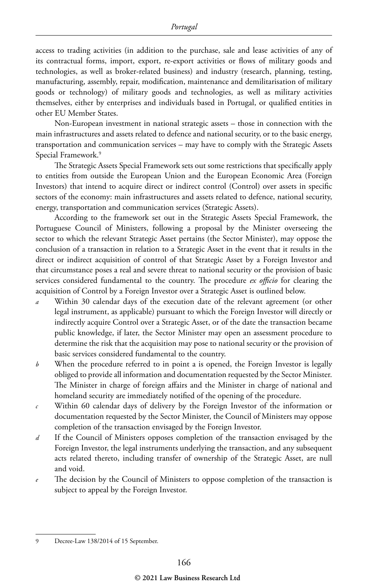access to trading activities (in addition to the purchase, sale and lease activities of any of its contractual forms, import, export, re-export activities or flows of military goods and technologies, as well as broker-related business) and industry (research, planning, testing, manufacturing, assembly, repair, modification, maintenance and demilitarisation of military goods or technology) of military goods and technologies, as well as military activities themselves, either by enterprises and individuals based in Portugal, or qualified entities in other EU Member States.

Non-European investment in national strategic assets – those in connection with the main infrastructures and assets related to defence and national security, or to the basic energy, transportation and communication services – may have to comply with the Strategic Assets Special Framework.9

The Strategic Assets Special Framework sets out some restrictions that specifically apply to entities from outside the European Union and the European Economic Area (Foreign Investors) that intend to acquire direct or indirect control (Control) over assets in specific sectors of the economy: main infrastructures and assets related to defence, national security, energy, transportation and communication services (Strategic Assets).

According to the framework set out in the Strategic Assets Special Framework, the Portuguese Council of Ministers, following a proposal by the Minister overseeing the sector to which the relevant Strategic Asset pertains (the Sector Minister), may oppose the conclusion of a transaction in relation to a Strategic Asset in the event that it results in the direct or indirect acquisition of control of that Strategic Asset by a Foreign Investor and that circumstance poses a real and severe threat to national security or the provision of basic services considered fundamental to the country. The procedure *ex officio* for clearing the acquisition of Control by a Foreign Investor over a Strategic Asset is outlined below.

- *a* Within 30 calendar days of the execution date of the relevant agreement (or other legal instrument, as applicable) pursuant to which the Foreign Investor will directly or indirectly acquire Control over a Strategic Asset, or of the date the transaction became public knowledge, if later, the Sector Minister may open an assessment procedure to determine the risk that the acquisition may pose to national security or the provision of basic services considered fundamental to the country.
- *b* When the procedure referred to in point a is opened, the Foreign Investor is legally obliged to provide all information and documentation requested by the Sector Minister. The Minister in charge of foreign affairs and the Minister in charge of national and homeland security are immediately notified of the opening of the procedure.
- *c* Within 60 calendar days of delivery by the Foreign Investor of the information or documentation requested by the Sector Minister, the Council of Ministers may oppose completion of the transaction envisaged by the Foreign Investor.
- *d* If the Council of Ministers opposes completion of the transaction envisaged by the Foreign Investor, the legal instruments underlying the transaction, and any subsequent acts related thereto, including transfer of ownership of the Strategic Asset, are null and void.
- The decision by the Council of Ministers to oppose completion of the transaction is subject to appeal by the Foreign Investor.

<sup>9</sup> Decree-Law 138/2014 of 15 September.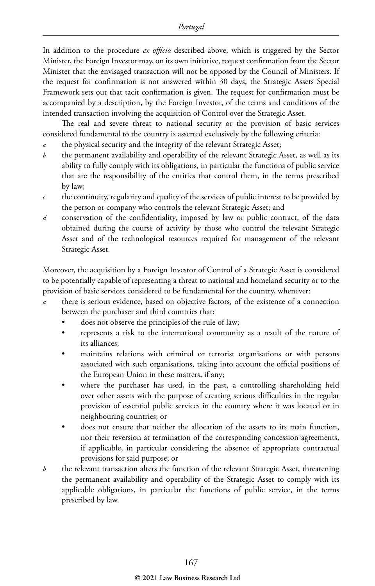In addition to the procedure *ex officio* described above, which is triggered by the Sector Minister, the Foreign Investor may, on its own initiative, request confirmation from the Sector Minister that the envisaged transaction will not be opposed by the Council of Ministers. If the request for confirmation is not answered within 30 days, the Strategic Assets Special Framework sets out that tacit confirmation is given. The request for confirmation must be accompanied by a description, by the Foreign Investor, of the terms and conditions of the intended transaction involving the acquisition of Control over the Strategic Asset.

The real and severe threat to national security or the provision of basic services considered fundamental to the country is asserted exclusively by the following criteria:

- the physical security and the integrity of the relevant Strategic Asset;
- *b* the permanent availability and operability of the relevant Strategic Asset, as well as its ability to fully comply with its obligations, in particular the functions of public service that are the responsibility of the entities that control them, in the terms prescribed by law;
- $c$  the continuity, regularity and quality of the services of public interest to be provided by the person or company who controls the relevant Strategic Asset; and
- *d* conservation of the confidentiality, imposed by law or public contract, of the data obtained during the course of activity by those who control the relevant Strategic Asset and of the technological resources required for management of the relevant Strategic Asset.

Moreover, the acquisition by a Foreign Investor of Control of a Strategic Asset is considered to be potentially capable of representing a threat to national and homeland security or to the provision of basic services considered to be fundamental for the country, whenever:

- there is serious evidence, based on objective factors, of the existence of a connection between the purchaser and third countries that:
	- does not observe the principles of the rule of law;
	- represents a risk to the international community as a result of the nature of its alliances;
	- maintains relations with criminal or terrorist organisations or with persons associated with such organisations, taking into account the official positions of the European Union in these matters, if any;
	- where the purchaser has used, in the past, a controlling shareholding held over other assets with the purpose of creating serious difficulties in the regular provision of essential public services in the country where it was located or in neighbouring countries; or
	- does not ensure that neither the allocation of the assets to its main function, nor their reversion at termination of the corresponding concession agreements, if applicable, in particular considering the absence of appropriate contractual provisions for said purpose; or
- *b* the relevant transaction alters the function of the relevant Strategic Asset, threatening the permanent availability and operability of the Strategic Asset to comply with its applicable obligations, in particular the functions of public service, in the terms prescribed by law.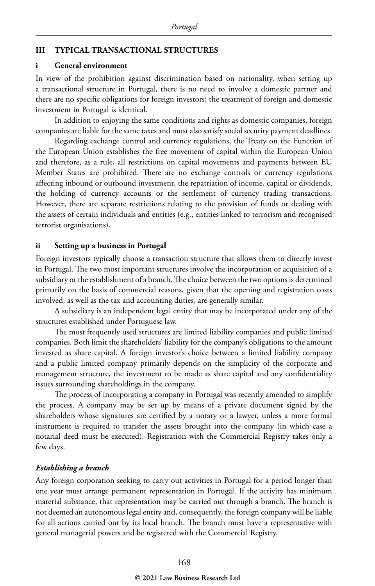#### **III TYPICAL TRANSACTIONAL STRUCTURES**

#### **i General environment**

In view of the prohibition against discrimination based on nationality, when setting up a transactional structure in Portugal, there is no need to involve a domestic partner and there are no specific obligations for foreign investors; the treatment of foreign and domestic investment in Portugal is identical.

In addition to enjoying the same conditions and rights as domestic companies, foreign companies are liable for the same taxes and must also satisfy social security payment deadlines.

Regarding exchange control and currency regulations, the Treaty on the Function of the European Union establishes the free movement of capital within the European Union and therefore, as a rule, all restrictions on capital movements and payments between EU Member States are prohibited. There are no exchange controls or currency regulations affecting inbound or outbound investment, the repatriation of income, capital or dividends, the holding of currency accounts or the settlement of currency trading transactions. However, there are separate restrictions relating to the provision of funds or dealing with the assets of certain individuals and entities (e.g., entities linked to terrorism and recognised terrorist organisations).

#### **ii Setting up a business in Portugal**

Foreign investors typically choose a transaction structure that allows them to directly invest in Portugal. The two most important structures involve the incorporation or acquisition of a subsidiary or the establishment of a branch. The choice between the two options is determined primarily on the basis of commercial reasons, given that the opening and registration costs involved, as well as the tax and accounting duties, are generally similar.

A subsidiary is an independent legal entity that may be incorporated under any of the structures established under Portuguese law.

The most frequently used structures are limited liability companies and public limited companies. Both limit the shareholders' liability for the company's obligations to the amount invested as share capital. A foreign investor's choice between a limited liability company and a public limited company primarily depends on the simplicity of the corporate and management structure, the investment to be made as share capital and any confidentiality issues surrounding shareholdings in the company.

The process of incorporating a company in Portugal was recently amended to simplify the process. A company may be set up by means of a private document signed by the shareholders whose signatures are certified by a notary or a lawyer, unless a more formal instrument is required to transfer the assets brought into the company (in which case a notarial deed must be executed). Registration with the Commercial Registry takes only a few days.

#### *Establishing a branch*

Any foreign corporation seeking to carry out activities in Portugal for a period longer than one year must arrange permanent representation in Portugal. If the activity has minimum material substance, that representation may be carried out through a branch. The branch is not deemed an autonomous legal entity and, consequently, the foreign company will be liable for all actions carried out by its local branch. The branch must have a representative with general managerial powers and be registered with the Commercial Registry.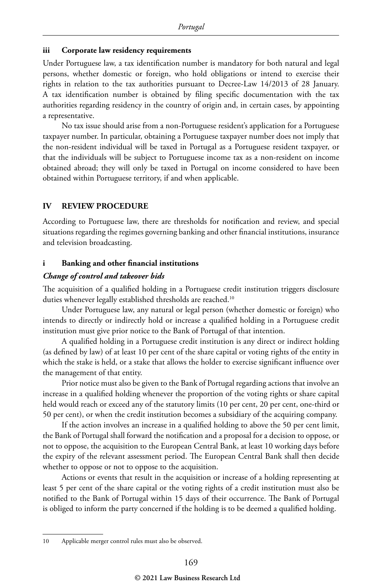#### **iii Corporate law residency requirements**

Under Portuguese law, a tax identification number is mandatory for both natural and legal persons, whether domestic or foreign, who hold obligations or intend to exercise their rights in relation to the tax authorities pursuant to Decree-Law 14/2013 of 28 January. A tax identification number is obtained by filing specific documentation with the tax authorities regarding residency in the country of origin and, in certain cases, by appointing a representative.

No tax issue should arise from a non-Portuguese resident's application for a Portuguese taxpayer number. In particular, obtaining a Portuguese taxpayer number does not imply that the non-resident individual will be taxed in Portugal as a Portuguese resident taxpayer, or that the individuals will be subject to Portuguese income tax as a non-resident on income obtained abroad; they will only be taxed in Portugal on income considered to have been obtained within Portuguese territory, if and when applicable.

#### **IV REVIEW PROCEDURE**

According to Portuguese law, there are thresholds for notification and review, and special situations regarding the regimes governing banking and other financial institutions, insurance and television broadcasting.

#### **i Banking and other financial institutions**

#### *Change of control and takeover bids*

The acquisition of a qualified holding in a Portuguese credit institution triggers disclosure duties whenever legally established thresholds are reached.<sup>10</sup>

Under Portuguese law, any natural or legal person (whether domestic or foreign) who intends to directly or indirectly hold or increase a qualified holding in a Portuguese credit institution must give prior notice to the Bank of Portugal of that intention.

A qualified holding in a Portuguese credit institution is any direct or indirect holding (as defined by law) of at least 10 per cent of the share capital or voting rights of the entity in which the stake is held, or a stake that allows the holder to exercise significant influence over the management of that entity.

Prior notice must also be given to the Bank of Portugal regarding actions that involve an increase in a qualified holding whenever the proportion of the voting rights or share capital held would reach or exceed any of the statutory limits (10 per cent, 20 per cent, one-third or 50 per cent), or when the credit institution becomes a subsidiary of the acquiring company.

If the action involves an increase in a qualified holding to above the 50 per cent limit, the Bank of Portugal shall forward the notification and a proposal for a decision to oppose, or not to oppose, the acquisition to the European Central Bank, at least 10 working days before the expiry of the relevant assessment period. The European Central Bank shall then decide whether to oppose or not to oppose to the acquisition.

Actions or events that result in the acquisition or increase of a holding representing at least 5 per cent of the share capital or the voting rights of a credit institution must also be notified to the Bank of Portugal within 15 days of their occurrence. The Bank of Portugal is obliged to inform the party concerned if the holding is to be deemed a qualified holding.

<sup>10</sup> Applicable merger control rules must also be observed.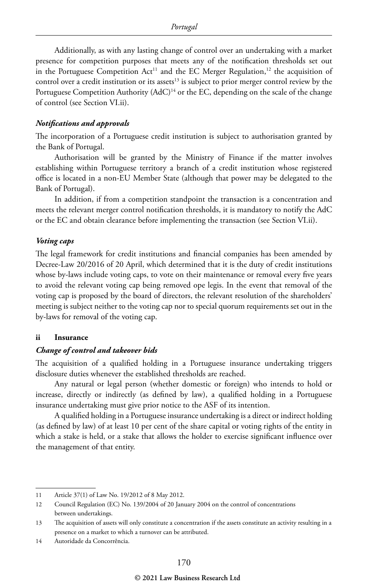Additionally, as with any lasting change of control over an undertaking with a market presence for competition purposes that meets any of the notification thresholds set out in the Portuguese Competition  $Act^{11}$  and the EC Merger Regulation,<sup>12</sup> the acquisition of control over a credit institution or its assets<sup>13</sup> is subject to prior merger control review by the Portuguese Competition Authority (AdC)<sup>14</sup> or the EC, depending on the scale of the change of control (see Section VI.ii).

#### *Notifications and approvals*

The incorporation of a Portuguese credit institution is subject to authorisation granted by the Bank of Portugal.

Authorisation will be granted by the Ministry of Finance if the matter involves establishing within Portuguese territory a branch of a credit institution whose registered office is located in a non-EU Member State (although that power may be delegated to the Bank of Portugal).

In addition, if from a competition standpoint the transaction is a concentration and meets the relevant merger control notification thresholds, it is mandatory to notify the AdC or the EC and obtain clearance before implementing the transaction (see Section VI.ii).

#### *Voting caps*

The legal framework for credit institutions and financial companies has been amended by Decree-Law 20/2016 of 20 April, which determined that it is the duty of credit institutions whose by-laws include voting caps, to vote on their maintenance or removal every five years to avoid the relevant voting cap being removed ope legis. In the event that removal of the voting cap is proposed by the board of directors, the relevant resolution of the shareholders' meeting is subject neither to the voting cap nor to special quorum requirements set out in the by-laws for removal of the voting cap.

#### **ii Insurance**

#### *Change of control and takeover bids*

The acquisition of a qualified holding in a Portuguese insurance undertaking triggers disclosure duties whenever the established thresholds are reached.

Any natural or legal person (whether domestic or foreign) who intends to hold or increase, directly or indirectly (as defined by law), a qualified holding in a Portuguese insurance undertaking must give prior notice to the ASF of its intention.

A qualified holding in a Portuguese insurance undertaking is a direct or indirect holding (as defined by law) of at least 10 per cent of the share capital or voting rights of the entity in which a stake is held, or a stake that allows the holder to exercise significant influence over the management of that entity.

14 Autoridade da Concorrência.

<sup>11</sup> Article 37(1) of Law No. 19/2012 of 8 May 2012.

<sup>12</sup> Council Regulation (EC) No. 139/2004 of 20 January 2004 on the control of concentrations between undertakings.

<sup>13</sup> The acquisition of assets will only constitute a concentration if the assets constitute an activity resulting in a presence on a market to which a turnover can be attributed.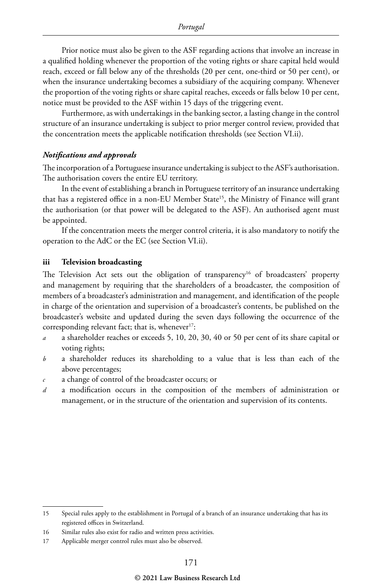Prior notice must also be given to the ASF regarding actions that involve an increase in a qualified holding whenever the proportion of the voting rights or share capital held would reach, exceed or fall below any of the thresholds (20 per cent, one-third or 50 per cent), or when the insurance undertaking becomes a subsidiary of the acquiring company. Whenever the proportion of the voting rights or share capital reaches, exceeds or falls below 10 per cent, notice must be provided to the ASF within 15 days of the triggering event.

Furthermore, as with undertakings in the banking sector, a lasting change in the control structure of an insurance undertaking is subject to prior merger control review, provided that the concentration meets the applicable notification thresholds (see Section VI.ii).

#### *Notifications and approvals*

The incorporation of a Portuguese insurance undertaking is subject to the ASF's authorisation. The authorisation covers the entire EU territory.

In the event of establishing a branch in Portuguese territory of an insurance undertaking that has a registered office in a non-EU Member State<sup>15</sup>, the Ministry of Finance will grant the authorisation (or that power will be delegated to the ASF). An authorised agent must be appointed.

If the concentration meets the merger control criteria, it is also mandatory to notify the operation to the AdC or the EC (see Section VI.ii).

#### **iii Television broadcasting**

The Television Act sets out the obligation of transparency<sup>16</sup> of broadcasters' property and management by requiring that the shareholders of a broadcaster, the composition of members of a broadcaster's administration and management, and identification of the people in charge of the orientation and supervision of a broadcaster's contents, be published on the broadcaster's website and updated during the seven days following the occurrence of the corresponding relevant fact; that is, whenever $17$ :

- *a* a shareholder reaches or exceeds 5, 10, 20, 30, 40 or 50 per cent of its share capital or voting rights;
- *b* a shareholder reduces its shareholding to a value that is less than each of the above percentages;
- *c* a change of control of the broadcaster occurs; or
- *d* a modification occurs in the composition of the members of administration or management, or in the structure of the orientation and supervision of its contents.

<sup>15</sup> Special rules apply to the establishment in Portugal of a branch of an insurance undertaking that has its registered offices in Switzerland.

<sup>16</sup> Similar rules also exist for radio and written press activities.

<sup>17</sup> Applicable merger control rules must also be observed.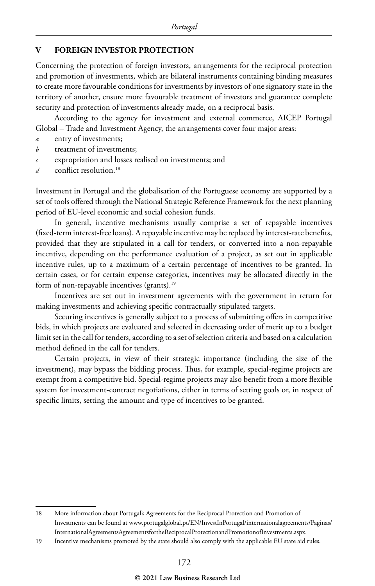#### **V FOREIGN INVESTOR PROTECTION**

Concerning the protection of foreign investors, arrangements for the reciprocal protection and promotion of investments, which are bilateral instruments containing binding measures to create more favourable conditions for investments by investors of one signatory state in the territory of another, ensure more favourable treatment of investors and guarantee complete security and protection of investments already made, on a reciprocal basis.

According to the agency for investment and external commerce, AICEP Portugal Global – Trade and Investment Agency, the arrangements cover four major areas:

- *a* entry of investments;
- *b* treatment of investments;
- *c* expropriation and losses realised on investments; and
- *d* conflict resolution.<sup>18</sup>

Investment in Portugal and the globalisation of the Portuguese economy are supported by a set of tools offered through the National Strategic Reference Framework for the next planning period of EU-level economic and social cohesion funds.

In general, incentive mechanisms usually comprise a set of repayable incentives (fixed-term interest-free loans). A repayable incentive may be replaced by interest-rate benefits, provided that they are stipulated in a call for tenders, or converted into a non-repayable incentive, depending on the performance evaluation of a project, as set out in applicable incentive rules, up to a maximum of a certain percentage of incentives to be granted. In certain cases, or for certain expense categories, incentives may be allocated directly in the form of non-repayable incentives (grants).<sup>19</sup>

Incentives are set out in investment agreements with the government in return for making investments and achieving specific contractually stipulated targets.

Securing incentives is generally subject to a process of submitting offers in competitive bids, in which projects are evaluated and selected in decreasing order of merit up to a budget limit set in the call for tenders, according to a set of selection criteria and based on a calculation method defined in the call for tenders.

Certain projects, in view of their strategic importance (including the size of the investment), may bypass the bidding process. Thus, for example, special-regime projects are exempt from a competitive bid. Special-regime projects may also benefit from a more flexible system for investment-contract negotiations, either in terms of setting goals or, in respect of specific limits, setting the amount and type of incentives to be granted.

<sup>18</sup> More information about Portugal's Agreements for the Reciprocal Protection and Promotion of Investments can be found at www.portugalglobal.pt/EN/InvestInPortugal/internationalagreements/Paginas/ InternationalAgreementsAgreementsfortheReciprocalProtectionandPromotionofInvestments.aspx.

<sup>19</sup> Incentive mechanisms promoted by the state should also comply with the applicable EU state aid rules.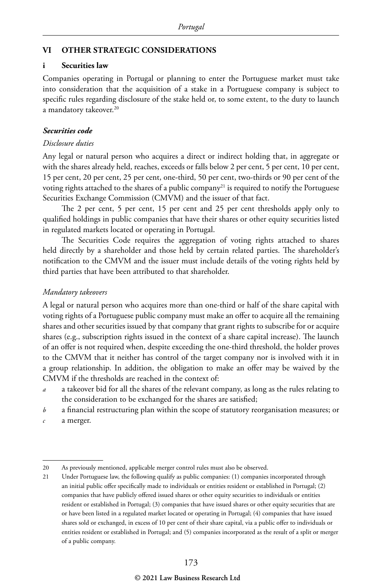#### **VI OTHER STRATEGIC CONSIDERATIONS**

#### **i Securities law**

Companies operating in Portugal or planning to enter the Portuguese market must take into consideration that the acquisition of a stake in a Portuguese company is subject to specific rules regarding disclosure of the stake held or, to some extent, to the duty to launch a mandatory takeover.<sup>20</sup>

#### *Securities code*

#### *Disclosure duties*

Any legal or natural person who acquires a direct or indirect holding that, in aggregate or with the shares already held, reaches, exceeds or falls below 2 per cent, 5 per cent, 10 per cent, 15 per cent, 20 per cent, 25 per cent, one-third, 50 per cent, two-thirds or 90 per cent of the voting rights attached to the shares of a public company<sup>21</sup> is required to notify the Portuguese Securities Exchange Commission (CMVM) and the issuer of that fact.

The 2 per cent, 5 per cent, 15 per cent and 25 per cent thresholds apply only to qualified holdings in public companies that have their shares or other equity securities listed in regulated markets located or operating in Portugal.

The Securities Code requires the aggregation of voting rights attached to shares held directly by a shareholder and those held by certain related parties. The shareholder's notification to the CMVM and the issuer must include details of the voting rights held by third parties that have been attributed to that shareholder.

#### *Mandatory takeovers*

A legal or natural person who acquires more than one-third or half of the share capital with voting rights of a Portuguese public company must make an offer to acquire all the remaining shares and other securities issued by that company that grant rights to subscribe for or acquire shares (e.g., subscription rights issued in the context of a share capital increase). The launch of an offer is not required when, despite exceeding the one-third threshold, the holder proves to the CMVM that it neither has control of the target company nor is involved with it in a group relationship. In addition, the obligation to make an offer may be waived by the CMVM if the thresholds are reached in the context of:

- *a* a takeover bid for all the shares of the relevant company, as long as the rules relating to the consideration to be exchanged for the shares are satisfied;
- *b* a financial restructuring plan within the scope of statutory reorganisation measures; or
- *c* a merger.

<sup>20</sup> As previously mentioned, applicable merger control rules must also be observed.

<sup>21</sup> Under Portuguese law, the following qualify as public companies: (1) companies incorporated through an initial public offer specifically made to individuals or entities resident or established in Portugal; (2) companies that have publicly offered issued shares or other equity securities to individuals or entities resident or established in Portugal; (3) companies that have issued shares or other equity securities that are or have been listed in a regulated market located or operating in Portugal; (4) companies that have issued shares sold or exchanged, in excess of 10 per cent of their share capital, via a public offer to individuals or entities resident or established in Portugal; and (5) companies incorporated as the result of a split or merger of a public company.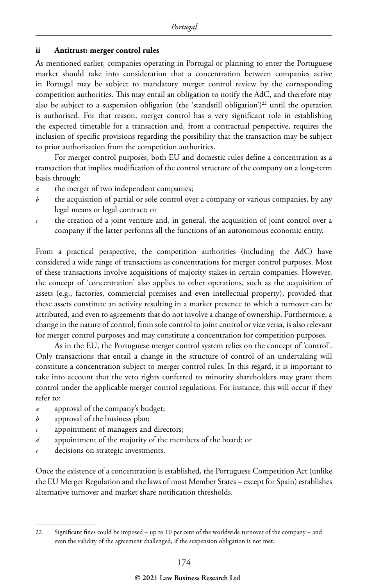#### **ii Antitrust: merger control rules**

As mentioned earlier, companies operating in Portugal or planning to enter the Portuguese market should take into consideration that a concentration between companies active in Portugal may be subject to mandatory merger control review by the corresponding competition authorities. This may entail an obligation to notify the AdC, and therefore may also be subject to a suspension obligation (the 'standstill obligation')<sup>22</sup> until the operation is authorised. For that reason, merger control has a very significant role in establishing the expected timetable for a transaction and, from a contractual perspective, requires the inclusion of specific provisions regarding the possibility that the transaction may be subject to prior authorisation from the competition authorities.

For merger control purposes, both EU and domestic rules define a concentration as a transaction that implies modification of the control structure of the company on a long-term basis through:

- *a* the merger of two independent companies;
- *b* the acquisition of partial or sole control over a company or various companies, by any legal means or legal contract; or
- *c* the creation of a joint venture and, in general, the acquisition of joint control over a company if the latter performs all the functions of an autonomous economic entity.

From a practical perspective, the competition authorities (including the AdC) have considered a wide range of transactions as concentrations for merger control purposes. Most of these transactions involve acquisitions of majority stakes in certain companies. However, the concept of 'concentration' also applies to other operations, such as the acquisition of assets (e.g., factories, commercial premises and even intellectual property), provided that these assets constitute an activity resulting in a market presence to which a turnover can be attributed, and even to agreements that do not involve a change of ownership. Furthermore, a change in the nature of control, from sole control to joint control or vice versa, is also relevant for merger control purposes and may constitute a concentration for competition purposes.

As in the EU, the Portuguese merger control system relies on the concept of 'control'. Only transactions that entail a change in the structure of control of an undertaking will constitute a concentration subject to merger control rules. In this regard, it is important to take into account that the veto rights conferred to minority shareholders may grant them control under the applicable merger control regulations. For instance, this will occur if they refer to:

- *a* approval of the company's budget;
- *b* approval of the business plan;
- appointment of managers and directors;
- *d* appointment of the majority of the members of the board; or
- decisions on strategic investments.

Once the existence of a concentration is established, the Portuguese Competition Act (unlike the EU Merger Regulation and the laws of most Member States – except for Spain) establishes alternative turnover and market share notification thresholds.

<sup>22</sup> Significant fines could be imposed – up to 10 per cent of the worldwide turnover of the company – and even the validity of the agreement challenged, if the suspension obligation is not met.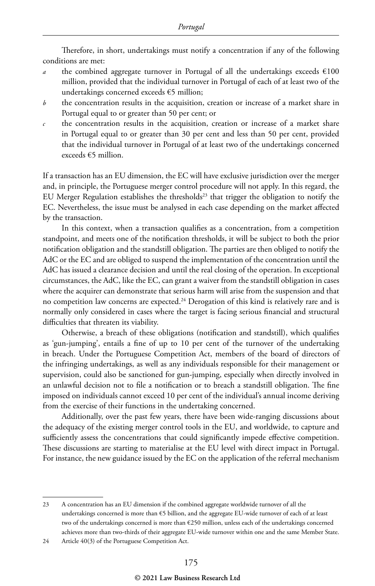Therefore, in short, undertakings must notify a concentration if any of the following conditions are met:

- *a* the combined aggregate turnover in Portugal of all the undertakings exceeds  $\epsilon$ 100 million, provided that the individual turnover in Portugal of each of at least two of the undertakings concerned exceeds €5 million;
- *b* the concentration results in the acquisition, creation or increase of a market share in Portugal equal to or greater than 50 per cent; or
- *c* the concentration results in the acquisition, creation or increase of a market share in Portugal equal to or greater than 30 per cent and less than 50 per cent, provided that the individual turnover in Portugal of at least two of the undertakings concerned exceeds €5 million.

If a transaction has an EU dimension, the EC will have exclusive jurisdiction over the merger and, in principle, the Portuguese merger control procedure will not apply. In this regard, the EU Merger Regulation establishes the thresholds<sup>23</sup> that trigger the obligation to notify the EC. Nevertheless, the issue must be analysed in each case depending on the market affected by the transaction.

In this context, when a transaction qualifies as a concentration, from a competition standpoint, and meets one of the notification thresholds, it will be subject to both the prior notification obligation and the standstill obligation. The parties are then obliged to notify the AdC or the EC and are obliged to suspend the implementation of the concentration until the AdC has issued a clearance decision and until the real closing of the operation. In exceptional circumstances, the AdC, like the EC, can grant a waiver from the standstill obligation in cases where the acquirer can demonstrate that serious harm will arise from the suspension and that no competition law concerns are expected.<sup>24</sup> Derogation of this kind is relatively rare and is normally only considered in cases where the target is facing serious financial and structural difficulties that threaten its viability.

Otherwise, a breach of these obligations (notification and standstill), which qualifies as 'gun-jumping', entails a fine of up to 10 per cent of the turnover of the undertaking in breach. Under the Portuguese Competition Act, members of the board of directors of the infringing undertakings, as well as any individuals responsible for their management or supervision, could also be sanctioned for gun-jumping, especially when directly involved in an unlawful decision not to file a notification or to breach a standstill obligation. The fine imposed on individuals cannot exceed 10 per cent of the individual's annual income deriving from the exercise of their functions in the undertaking concerned.

Additionally, over the past few years, there have been wide-ranging discussions about the adequacy of the existing merger control tools in the EU, and worldwide, to capture and sufficiently assess the concentrations that could significantly impede effective competition. These discussions are starting to materialise at the EU level with direct impact in Portugal. For instance, the new guidance issued by the EC on the application of the referral mechanism

<sup>23</sup> A concentration has an EU dimension if the combined aggregate worldwide turnover of all the undertakings concerned is more than €5 billion, and the aggregate EU-wide turnover of each of at least two of the undertakings concerned is more than €250 million, unless each of the undertakings concerned achieves more than two-thirds of their aggregate EU-wide turnover within one and the same Member State.

<sup>24</sup> Article 40(3) of the Portuguese Competition Act.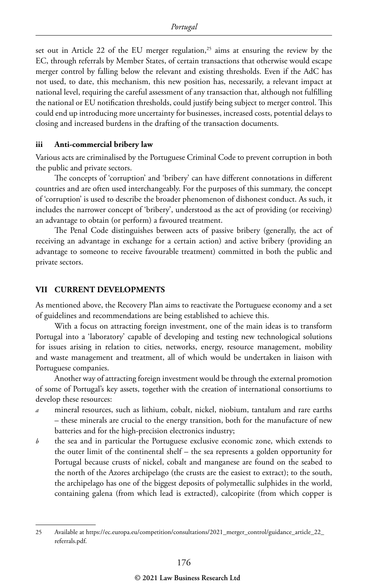set out in Article 22 of the EU merger regulation,<sup>25</sup> aims at ensuring the review by the EC, through referrals by Member States, of certain transactions that otherwise would escape merger control by falling below the relevant and existing thresholds. Even if the AdC has not used, to date, this mechanism, this new position has, necessarily, a relevant impact at national level, requiring the careful assessment of any transaction that, although not fulfilling the national or EU notification thresholds, could justify being subject to merger control. This could end up introducing more uncertainty for businesses, increased costs, potential delays to closing and increased burdens in the drafting of the transaction documents.

#### **iii Anti-commercial bribery law**

Various acts are criminalised by the Portuguese Criminal Code to prevent corruption in both the public and private sectors.

The concepts of 'corruption' and 'bribery' can have different connotations in different countries and are often used interchangeably. For the purposes of this summary, the concept of 'corruption' is used to describe the broader phenomenon of dishonest conduct. As such, it includes the narrower concept of 'bribery', understood as the act of providing (or receiving) an advantage to obtain (or perform) a favoured treatment.

The Penal Code distinguishes between acts of passive bribery (generally, the act of receiving an advantage in exchange for a certain action) and active bribery (providing an advantage to someone to receive favourable treatment) committed in both the public and private sectors.

#### **VII CURRENT DEVELOPMENTS**

As mentioned above, the Recovery Plan aims to reactivate the Portuguese economy and a set of guidelines and recommendations are being established to achieve this.

With a focus on attracting foreign investment, one of the main ideas is to transform Portugal into a 'laboratory' capable of developing and testing new technological solutions for issues arising in relation to cities, networks, energy, resource management, mobility and waste management and treatment, all of which would be undertaken in liaison with Portuguese companies.

Another way of attracting foreign investment would be through the external promotion of some of Portugal's key assets, together with the creation of international consortiums to develop these resources:

- *a* mineral resources, such as lithium, cobalt, nickel, niobium, tantalum and rare earths – these minerals are crucial to the energy transition, both for the manufacture of new batteries and for the high-precision electronics industry;
- *b* the sea and in particular the Portuguese exclusive economic zone, which extends to the outer limit of the continental shelf – the sea represents a golden opportunity for Portugal because crusts of nickel, cobalt and manganese are found on the seabed to the north of the Azores archipelago (the crusts are the easiest to extract); to the south, the archipelago has one of the biggest deposits of polymetallic sulphides in the world, containing galena (from which lead is extracted), calcopirite (from which copper is

<sup>25</sup> Available at https://ec.europa.eu/competition/consultations/2021\_merger\_control/guidance\_article\_22\_ referrals.pdf.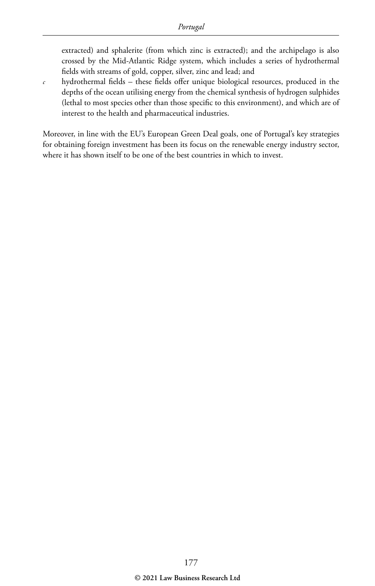extracted) and sphalerite (from which zinc is extracted); and the archipelago is also crossed by the Mid-Atlantic Ridge system, which includes a series of hydrothermal fields with streams of gold, copper, silver, zinc and lead; and

 $c$  hydrothermal fields – these fields offer unique biological resources, produced in the depths of the ocean utilising energy from the chemical synthesis of hydrogen sulphides (lethal to most species other than those specific to this environment), and which are of interest to the health and pharmaceutical industries.

Moreover, in line with the EU's European Green Deal goals, one of Portugal's key strategies for obtaining foreign investment has been its focus on the renewable energy industry sector, where it has shown itself to be one of the best countries in which to invest.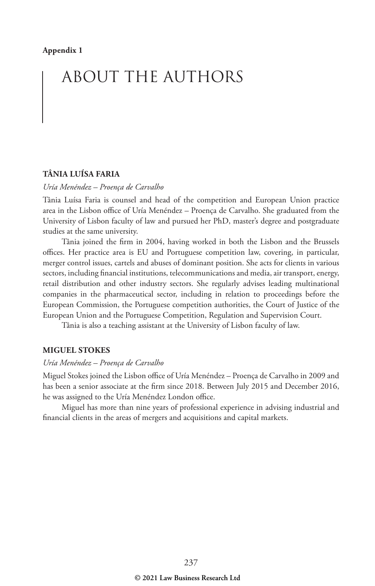## ABOUT THE AUTHORS

#### **TÂNIA LUÍSA FARIA**

#### *Uría Menéndez – Proença de Carvalho*

Tânia Luísa Faria is counsel and head of the competition and European Union practice area in the Lisbon office of Uría Menéndez – Proença de Carvalho. She graduated from the University of Lisbon faculty of law and pursued her PhD, master's degree and postgraduate studies at the same university.

Tânia joined the firm in 2004, having worked in both the Lisbon and the Brussels offices. Her practice area is EU and Portuguese competition law, covering, in particular, merger control issues, cartels and abuses of dominant position. She acts for clients in various sectors, including financial institutions, telecommunications and media, air transport, energy, retail distribution and other industry sectors. She regularly advises leading multinational companies in the pharmaceutical sector, including in relation to proceedings before the European Commission, the Portuguese competition authorities, the Court of Justice of the European Union and the Portuguese Competition, Regulation and Supervision Court.

Tânia is also a teaching assistant at the University of Lisbon faculty of law.

#### **MIGUEL STOKES**

#### *Uría Menéndez – Proença de Carvalho*

Miguel Stokes joined the Lisbon office of Uría Menéndez – Proença de Carvalho in 2009 and has been a senior associate at the firm since 2018. Between July 2015 and December 2016, he was assigned to the Uría Menéndez London office.

Miguel has more than nine years of professional experience in advising industrial and financial clients in the areas of mergers and acquisitions and capital markets.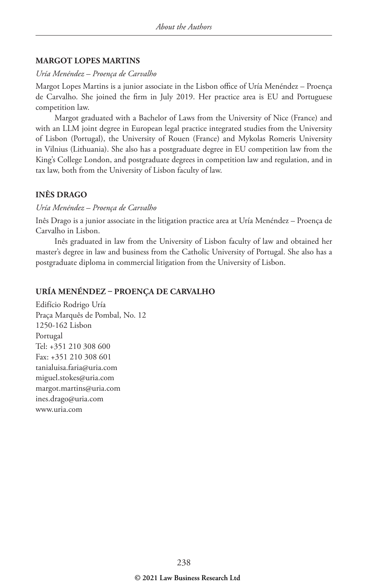#### **MARGOT LOPES MARTINS**

#### *Uría Menéndez – Proença de Carvalho*

Margot Lopes Martins is a junior associate in the Lisbon office of Uría Menéndez – Proença de Carvalho. She joined the firm in July 2019. Her practice area is EU and Portuguese competition law.

Margot graduated with a Bachelor of Laws from the University of Nice (France) and with an LLM joint degree in European legal practice integrated studies from the University of Lisbon (Portugal), the University of Rouen (France) and Mykolas Romeris University in Vilnius (Lithuania). She also has a postgraduate degree in EU competition law from the King's College London, and postgraduate degrees in competition law and regulation, and in tax law, both from the University of Lisbon faculty of law.

#### **INÊS DRAGO**

#### *Uría Menéndez – Proença de Carvalho*

Inês Drago is a junior associate in the litigation practice area at Uría Menéndez – Proença de Carvalho in Lisbon.

Inês graduated in law from the University of Lisbon faculty of law and obtained her master's degree in law and business from the Catholic University of Portugal. She also has a postgraduate diploma in commercial litigation from the University of Lisbon.

#### **URÍA MENÉNDEZ – PROENÇA DE CARVALHO**

Edifício Rodrigo Uría Praça Marquês de Pombal, No. 12 1250-162 Lisbon Portugal Tel: +351 210 308 600 Fax: +351 210 308 601 tanialuisa.faria@uria.com miguel.stokes@uria.com margot.martins@uria.com ines.drago@uria.com www.uria.com